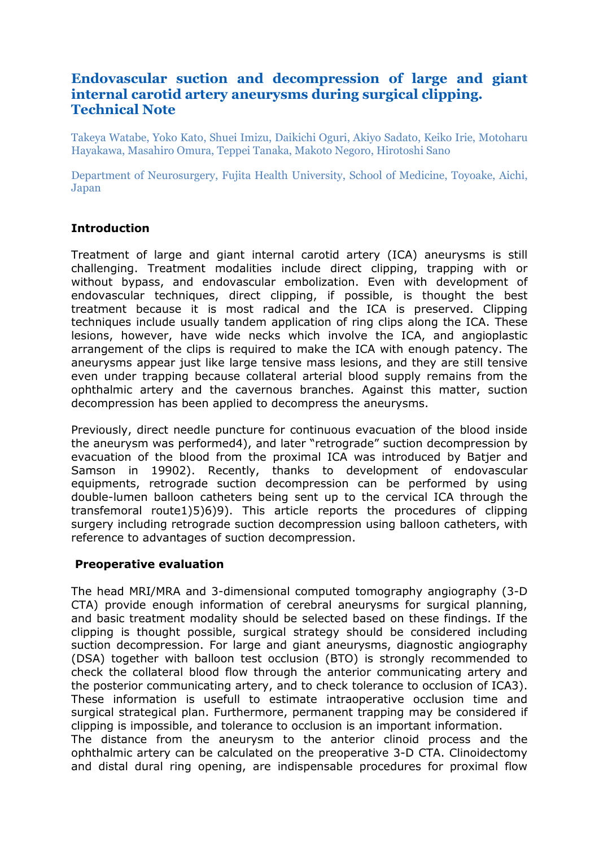# **Endovascular suction and decompression of large and giant internal carotid artery aneurysms during surgical clipping. Technical Note**

Takeya Watabe, Yoko Kato, Shuei Imizu, Daikichi Oguri, Akiyo Sadato, Keiko Irie, Motoharu Hayakawa, Masahiro Omura, Teppei Tanaka, Makoto Negoro, Hirotoshi Sano

Department of Neurosurgery, Fujita Health University, School of Medicine, Toyoake, Aichi, Japan

#### **Introduction**

Treatment of large and giant internal carotid artery (ICA) aneurysms is still challenging. Treatment modalities include direct clipping, trapping with or without bypass, and endovascular embolization. Even with development of endovascular techniques, direct clipping, if possible, is thought the best treatment because it is most radical and the ICA is preserved. Clipping techniques include usually tandem application of ring clips along the ICA. These lesions, however, have wide necks which involve the ICA, and angioplastic arrangement of the clips is required to make the ICA with enough patency. The aneurysms appear just like large tensive mass lesions, and they are still tensive even under trapping because collateral arterial blood supply remains from the ophthalmic artery and the cavernous branches. Against this matter, suction decompression has been applied to decompress the aneurysms.

Previously, direct needle puncture for continuous evacuation of the blood inside the aneurysm was performed4), and later "retrograde" suction decompression by evacuation of the blood from the proximal ICA was introduced by Batier and Samson in 19902). Recently, thanks to development of endovascular equipments, retrograde suction decompression can be performed by using double-lumen balloon catheters being sent up to the cervical ICA through the transfemoral route1)5)6)9). This article reports the procedures of clipping surgery including retrograde suction decompression using balloon catheters, with reference to advantages of suction decompression.

#### **Preoperative evaluation**

The head MRI/MRA and 3-dimensional computed tomography angiography (3-D CTA) provide enough information of cerebral aneurysms for surgical planning, and basic treatment modality should be selected based on these findings. If the clipping is thought possible, surgical strategy should be considered including suction decompression. For large and giant aneurysms, diagnostic angiography (DSA) together with balloon test occlusion (BTO) is strongly recommended to check the collateral blood flow through the anterior communicating artery and the posterior communicating artery, and to check tolerance to occlusion of ICA3). These information is usefull to estimate intraoperative occlusion time and surgical strategical plan. Furthermore, permanent trapping may be considered if clipping is impossible, and tolerance to occlusion is an important information. The distance from the aneurysm to the anterior clinoid process and the ophthalmic artery can be calculated on the preoperative 3-D CTA. Clinoidectomy and distal dural ring opening, are indispensable procedures for proximal flow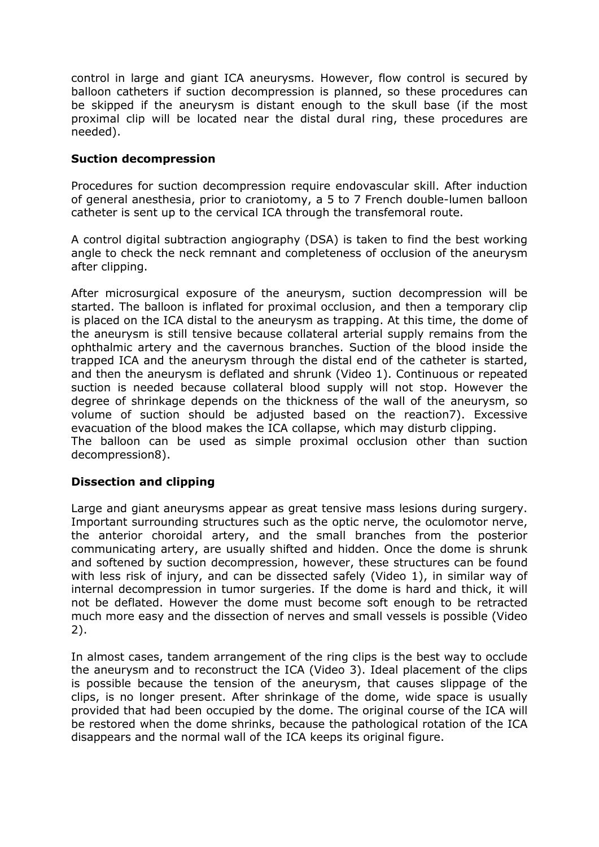control in large and giant ICA aneurysms. However, flow control is secured by balloon catheters if suction decompression is planned, so these procedures can be skipped if the aneurysm is distant enough to the skull base (if the most proximal clip will be located near the distal dural ring, these procedures are needed).

### **Suction decompression**

Procedures for suction decompression require endovascular skill. After induction of general anesthesia, prior to craniotomy, a 5 to 7 French double-lumen balloon catheter is sent up to the cervical ICA through the transfemoral route.

A control digital subtraction angiography (DSA) is taken to find the best working angle to check the neck remnant and completeness of occlusion of the aneurysm after clipping.

After microsurgical exposure of the aneurysm, suction decompression will be started. The balloon is inflated for proximal occlusion, and then a temporary clip is placed on the ICA distal to the aneurysm as trapping. At this time, the dome of the aneurysm is still tensive because collateral arterial supply remains from the ophthalmic artery and the cavernous branches. Suction of the blood inside the trapped ICA and the aneurysm through the distal end of the catheter is started, and then the aneurysm is deflated and shrunk (Video 1). Continuous or repeated suction is needed because collateral blood supply will not stop. However the degree of shrinkage depends on the thickness of the wall of the aneurysm, so volume of suction should be adjusted based on the reaction7). Excessive evacuation of the blood makes the ICA collapse, which may disturb clipping. The balloon can be used as simple proximal occlusion other than suction decompression8).

#### **Dissection and clipping**

Large and giant aneurysms appear as great tensive mass lesions during surgery. Important surrounding structures such as the optic nerve, the oculomotor nerve, the anterior choroidal artery, and the small branches from the posterior communicating artery, are usually shifted and hidden. Once the dome is shrunk and softened by suction decompression, however, these structures can be found with less risk of injury, and can be dissected safely (Video 1), in similar way of internal decompression in tumor surgeries. If the dome is hard and thick, it will not be deflated. However the dome must become soft enough to be retracted much more easy and the dissection of nerves and small vessels is possible (Video 2).

In almost cases, tandem arrangement of the ring clips is the best way to occlude the aneurysm and to reconstruct the ICA (Video 3). Ideal placement of the clips is possible because the tension of the aneurysm, that causes slippage of the clips, is no longer present. After shrinkage of the dome, wide space is usually provided that had been occupied by the dome. The original course of the ICA will be restored when the dome shrinks, because the pathological rotation of the ICA disappears and the normal wall of the ICA keeps its original figure.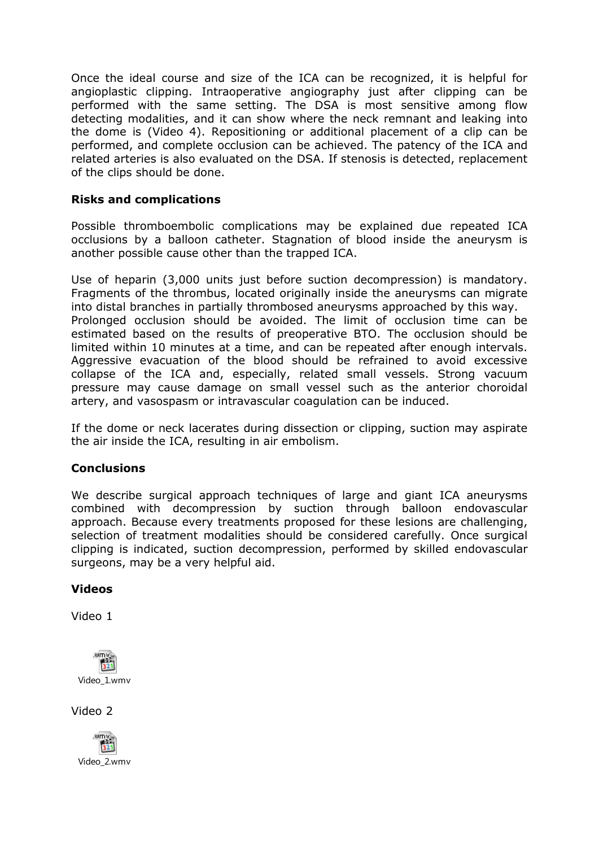Once the ideal course and size of the ICA can be recognized, it is helpful for angioplastic clipping. Intraoperative angiography just after clipping can be performed with the same setting. The DSA is most sensitive among flow detecting modalities, and it can show where the neck remnant and leaking into the dome is (Video 4). Repositioning or additional placement of a clip can be performed, and complete occlusion can be achieved. The patency of the ICA and related arteries is also evaluated on the DSA. If stenosis is detected, replacement of the clips should be done.

### **Risks and complications**

Possible thromboembolic complications may be explained due repeated ICA occlusions by a balloon catheter. Stagnation of blood inside the aneurysm is another possible cause other than the trapped ICA.

Use of heparin (3,000 units just before suction decompression) is mandatory. Fragments of the thrombus, located originally inside the aneurysms can migrate into distal branches in partially thrombosed aneurysms approached by this way. Prolonged occlusion should be avoided. The limit of occlusion time can be estimated based on the results of preoperative BTO. The occlusion should be limited within 10 minutes at a time, and can be repeated after enough intervals. Aggressive evacuation of the blood should be refrained to avoid excessive collapse of the ICA and, especially, related small vessels. Strong vacuum pressure may cause damage on small vessel such as the anterior choroidal artery, and vasospasm or intravascular coagulation can be induced.

If the dome or neck lacerates during dissection or clipping, suction may aspirate the air inside the ICA, resulting in air embolism.

#### **Conclusions**

We describe surgical approach techniques of large and giant ICA aneurysms combined with decompression by suction through balloon endovascular approach. Because every treatments proposed for these lesions are challenging, selection of treatment modalities should be considered carefully. Once surgical clipping is indicated, suction decompression, performed by skilled endovascular surgeons, may be a very helpful aid.

## **Videos**

Video 1



Video 2